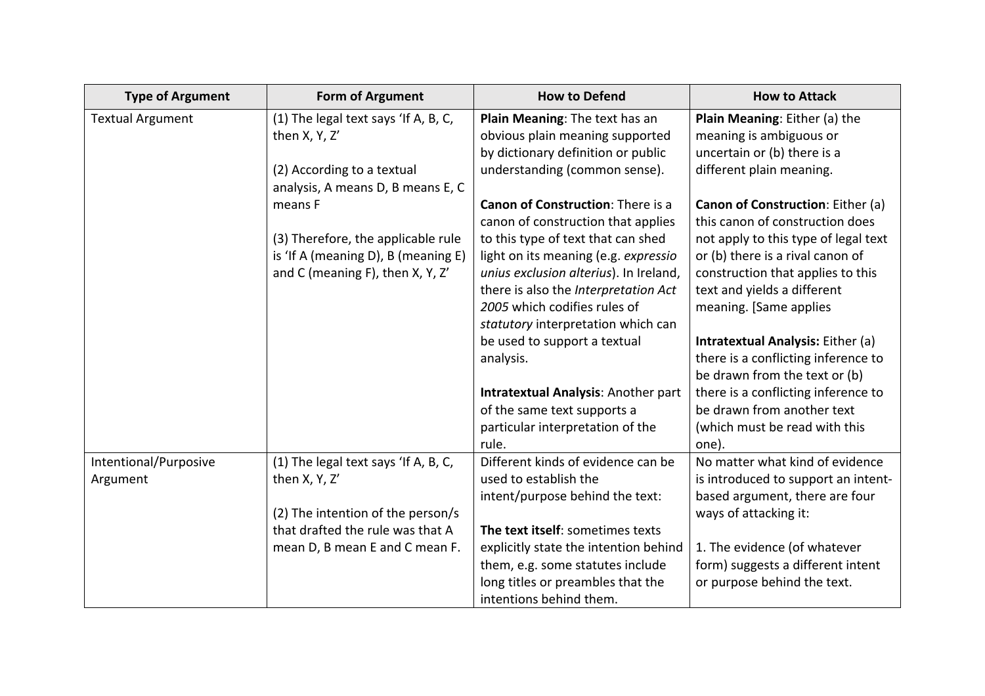| <b>Type of Argument</b> | <b>Form of Argument</b>              | <b>How to Defend</b>                   | <b>How to Attack</b>                     |
|-------------------------|--------------------------------------|----------------------------------------|------------------------------------------|
| <b>Textual Argument</b> | (1) The legal text says 'If A, B, C, | Plain Meaning: The text has an         | Plain Meaning: Either (a) the            |
|                         | then X, Y, Z'                        | obvious plain meaning supported        | meaning is ambiguous or                  |
|                         |                                      | by dictionary definition or public     | uncertain or (b) there is a              |
|                         | (2) According to a textual           | understanding (common sense).          | different plain meaning.                 |
|                         | analysis, A means D, B means E, C    |                                        |                                          |
|                         | means F                              | Canon of Construction: There is a      | <b>Canon of Construction: Either (a)</b> |
|                         |                                      | canon of construction that applies     | this canon of construction does          |
|                         | (3) Therefore, the applicable rule   | to this type of text that can shed     | not apply to this type of legal text     |
|                         | is 'If A (meaning D), B (meaning E)  | light on its meaning (e.g. expressio   | or (b) there is a rival canon of         |
|                         | and C (meaning F), then X, Y, Z'     | unius exclusion alterius). In Ireland, | construction that applies to this        |
|                         |                                      | there is also the Interpretation Act   | text and yields a different              |
|                         |                                      | 2005 which codifies rules of           | meaning. [Same applies]                  |
|                         |                                      | statutory interpretation which can     |                                          |
|                         |                                      | be used to support a textual           | Intratextual Analysis: Either (a)        |
|                         |                                      | analysis.                              | there is a conflicting inference to      |
|                         |                                      |                                        | be drawn from the text or (b)            |
|                         |                                      | Intratextual Analysis: Another part    | there is a conflicting inference to      |
|                         |                                      | of the same text supports a            | be drawn from another text               |
|                         |                                      | particular interpretation of the       | (which must be read with this            |
|                         |                                      | rule.                                  | one).                                    |
| Intentional/Purposive   | (1) The legal text says 'If A, B, C, | Different kinds of evidence can be     | No matter what kind of evidence          |
| Argument                | then X, Y, Z'                        | used to establish the                  | is introduced to support an intent-      |
|                         |                                      | intent/purpose behind the text:        | based argument, there are four           |
|                         | (2) The intention of the person/s    |                                        | ways of attacking it:                    |
|                         | that drafted the rule was that A     | The text itself: sometimes texts       |                                          |
|                         | mean D, B mean E and C mean F.       | explicitly state the intention behind  | 1. The evidence (of whatever             |
|                         |                                      | them, e.g. some statutes include       | form) suggests a different intent        |
|                         |                                      | long titles or preambles that the      | or purpose behind the text.              |
|                         |                                      | intentions behind them.                |                                          |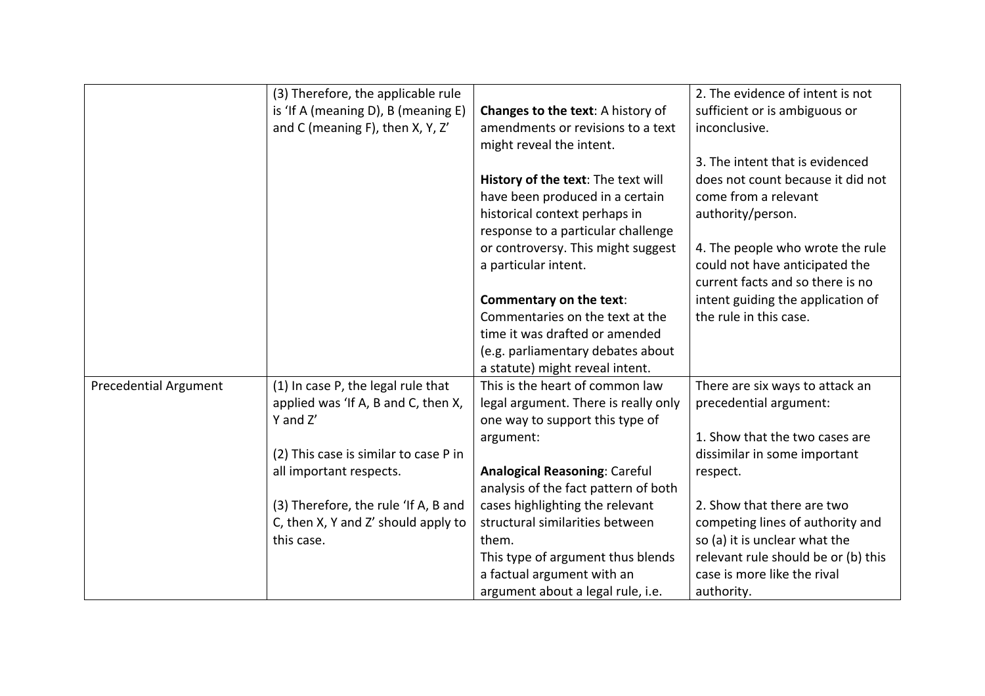|                              | (3) Therefore, the applicable rule    |                                          | 2. The evidence of intent is not    |
|------------------------------|---------------------------------------|------------------------------------------|-------------------------------------|
|                              | is 'If A (meaning D), B (meaning E)   | <b>Changes to the text: A history of</b> | sufficient or is ambiguous or       |
|                              | and C (meaning F), then X, Y, Z'      | amendments or revisions to a text        | inconclusive.                       |
|                              |                                       | might reveal the intent.                 |                                     |
|                              |                                       |                                          | 3. The intent that is evidenced     |
|                              |                                       | History of the text: The text will       | does not count because it did not   |
|                              |                                       | have been produced in a certain          | come from a relevant                |
|                              |                                       | historical context perhaps in            | authority/person.                   |
|                              |                                       | response to a particular challenge       |                                     |
|                              |                                       | or controversy. This might suggest       | 4. The people who wrote the rule    |
|                              |                                       | a particular intent.                     | could not have anticipated the      |
|                              |                                       |                                          | current facts and so there is no    |
|                              |                                       | Commentary on the text:                  | intent guiding the application of   |
|                              |                                       | Commentaries on the text at the          | the rule in this case.              |
|                              |                                       | time it was drafted or amended           |                                     |
|                              |                                       | (e.g. parliamentary debates about        |                                     |
|                              |                                       | a statute) might reveal intent.          |                                     |
| <b>Precedential Argument</b> | (1) In case P, the legal rule that    | This is the heart of common law          | There are six ways to attack an     |
|                              | applied was 'If A, B and C, then X,   | legal argument. There is really only     | precedential argument:              |
|                              | Y and Z'                              | one way to support this type of          |                                     |
|                              |                                       | argument:                                | 1. Show that the two cases are      |
|                              | (2) This case is similar to case P in |                                          | dissimilar in some important        |
|                              | all important respects.               | <b>Analogical Reasoning: Careful</b>     | respect.                            |
|                              |                                       | analysis of the fact pattern of both     |                                     |
|                              | (3) Therefore, the rule 'If A, B and  | cases highlighting the relevant          | 2. Show that there are two          |
|                              | C, then X, Y and Z' should apply to   | structural similarities between          | competing lines of authority and    |
|                              | this case.                            | them.                                    | so (a) it is unclear what the       |
|                              |                                       | This type of argument thus blends        | relevant rule should be or (b) this |
|                              |                                       | a factual argument with an               | case is more like the rival         |
|                              |                                       | argument about a legal rule, i.e.        | authority.                          |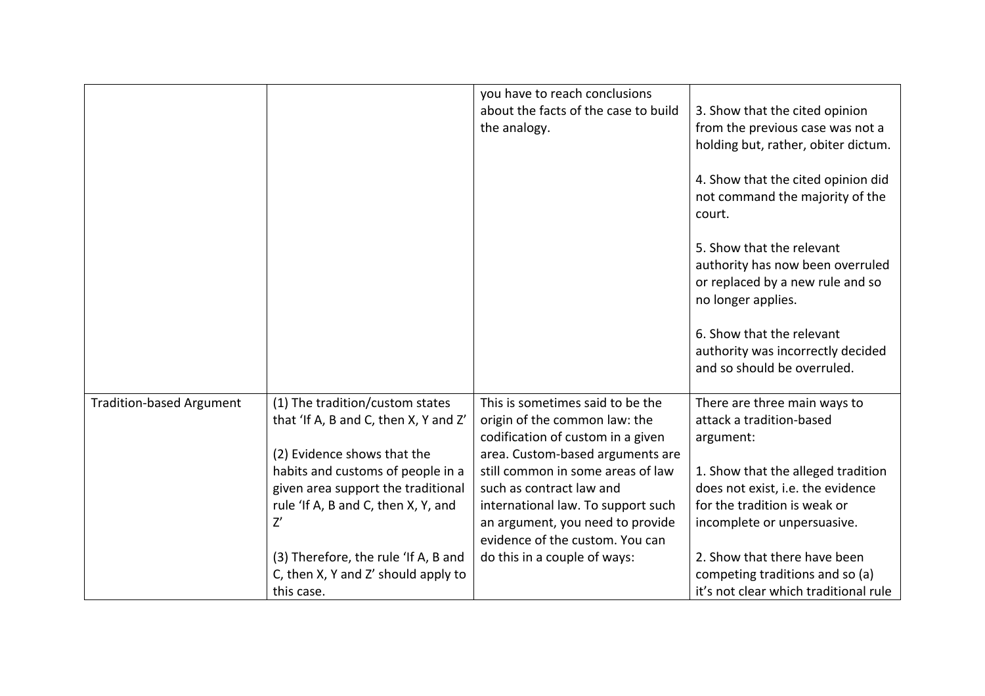|                                 |                                       | you have to reach conclusions        |                                                                                                                         |
|---------------------------------|---------------------------------------|--------------------------------------|-------------------------------------------------------------------------------------------------------------------------|
|                                 |                                       | about the facts of the case to build | 3. Show that the cited opinion                                                                                          |
|                                 |                                       | the analogy.                         | from the previous case was not a                                                                                        |
|                                 |                                       |                                      | holding but, rather, obiter dictum.                                                                                     |
|                                 |                                       |                                      |                                                                                                                         |
|                                 |                                       |                                      | 4. Show that the cited opinion did<br>not command the majority of the<br>court.                                         |
|                                 |                                       |                                      | 5. Show that the relevant<br>authority has now been overruled<br>or replaced by a new rule and so<br>no longer applies. |
|                                 |                                       |                                      | 6. Show that the relevant<br>authority was incorrectly decided<br>and so should be overruled.                           |
| <b>Tradition-based Argument</b> | (1) The tradition/custom states       | This is sometimes said to be the     | There are three main ways to                                                                                            |
|                                 | that 'If A, B and C, then X, Y and Z' | origin of the common law: the        | attack a tradition-based                                                                                                |
|                                 |                                       | codification of custom in a given    | argument:                                                                                                               |
|                                 | (2) Evidence shows that the           | area. Custom-based arguments are     |                                                                                                                         |
|                                 | habits and customs of people in a     | still common in some areas of law    | 1. Show that the alleged tradition                                                                                      |
|                                 | given area support the traditional    | such as contract law and             | does not exist, i.e. the evidence                                                                                       |
|                                 | rule 'If A, B and C, then X, Y, and   | international law. To support such   | for the tradition is weak or                                                                                            |
|                                 | Z'                                    | an argument, you need to provide     | incomplete or unpersuasive.                                                                                             |
|                                 |                                       | evidence of the custom. You can      |                                                                                                                         |
|                                 | (3) Therefore, the rule 'If A, B and  | do this in a couple of ways:         | 2. Show that there have been                                                                                            |
|                                 | C, then X, Y and Z' should apply to   |                                      | competing traditions and so (a)                                                                                         |
|                                 | this case.                            |                                      | it's not clear which traditional rule                                                                                   |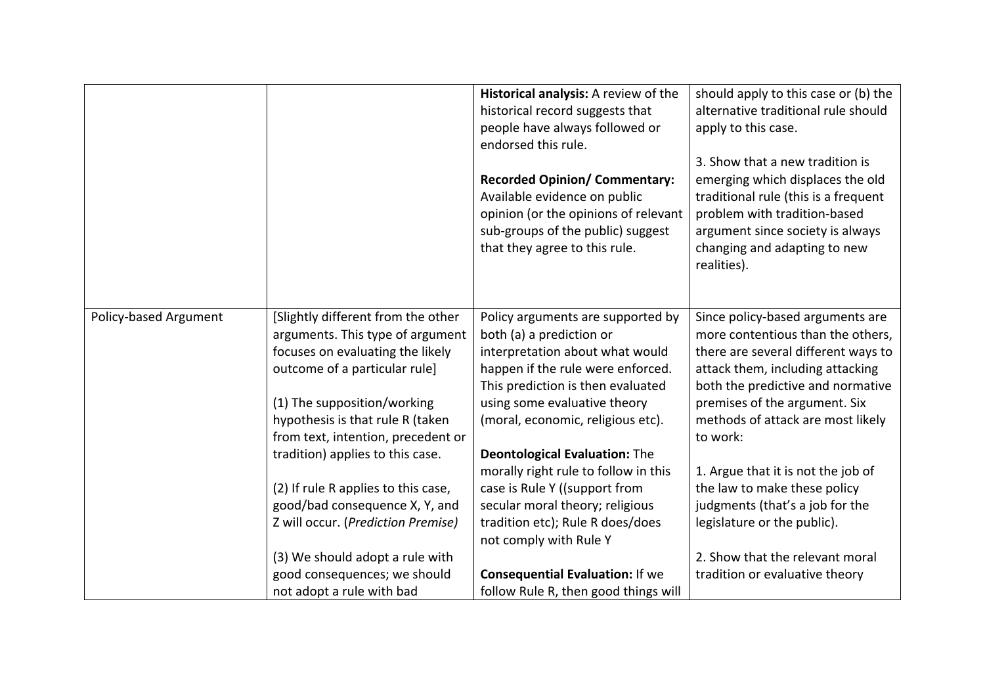|                       |                                                                                                                                                                                                                                                                                          | Historical analysis: A review of the<br>historical record suggests that<br>people have always followed or<br>endorsed this rule.<br><b>Recorded Opinion/ Commentary:</b><br>Available evidence on public<br>opinion (or the opinions of relevant<br>sub-groups of the public) suggest<br>that they agree to this rule. | should apply to this case or (b) the<br>alternative traditional rule should<br>apply to this case.<br>3. Show that a new tradition is<br>emerging which displaces the old<br>traditional rule (this is a frequent<br>problem with tradition-based<br>argument since society is always<br>changing and adapting to new<br>realities). |
|-----------------------|------------------------------------------------------------------------------------------------------------------------------------------------------------------------------------------------------------------------------------------------------------------------------------------|------------------------------------------------------------------------------------------------------------------------------------------------------------------------------------------------------------------------------------------------------------------------------------------------------------------------|--------------------------------------------------------------------------------------------------------------------------------------------------------------------------------------------------------------------------------------------------------------------------------------------------------------------------------------|
| Policy-based Argument | [Slightly different from the other<br>arguments. This type of argument<br>focuses on evaluating the likely<br>outcome of a particular rule]<br>(1) The supposition/working<br>hypothesis is that rule R (taken<br>from text, intention, precedent or<br>tradition) applies to this case. | Policy arguments are supported by<br>both (a) a prediction or<br>interpretation about what would<br>happen if the rule were enforced.<br>This prediction is then evaluated<br>using some evaluative theory<br>(moral, economic, religious etc).<br><b>Deontological Evaluation: The</b>                                | Since policy-based arguments are<br>more contentious than the others,<br>there are several different ways to<br>attack them, including attacking<br>both the predictive and normative<br>premises of the argument. Six<br>methods of attack are most likely<br>to work:                                                              |
|                       | (2) If rule R applies to this case,<br>good/bad consequence X, Y, and<br>Z will occur. (Prediction Premise)                                                                                                                                                                              | morally right rule to follow in this<br>case is Rule Y ((support from<br>secular moral theory; religious<br>tradition etc); Rule R does/does<br>not comply with Rule Y                                                                                                                                                 | 1. Argue that it is not the job of<br>the law to make these policy<br>judgments (that's a job for the<br>legislature or the public).                                                                                                                                                                                                 |
|                       | (3) We should adopt a rule with<br>good consequences; we should<br>not adopt a rule with bad                                                                                                                                                                                             | <b>Consequential Evaluation: If we</b><br>follow Rule R, then good things will                                                                                                                                                                                                                                         | 2. Show that the relevant moral<br>tradition or evaluative theory                                                                                                                                                                                                                                                                    |